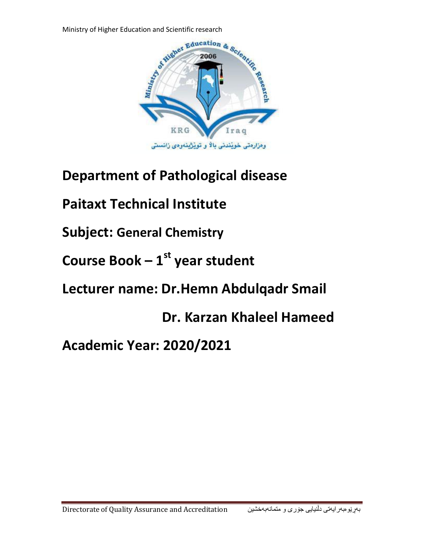Ministry of Higher Education and Scientific research



## **Department of Pathological disease**

## **Paitaxt Technical Institute**

**Subject: General Chemistry**

# **Course Book – 1 st year student**

**Lecturer name: Dr.Hemn Abdulqadr Smail**

 **Dr. Karzan Khaleel Hameed**

**Academic Year: 2020/2021**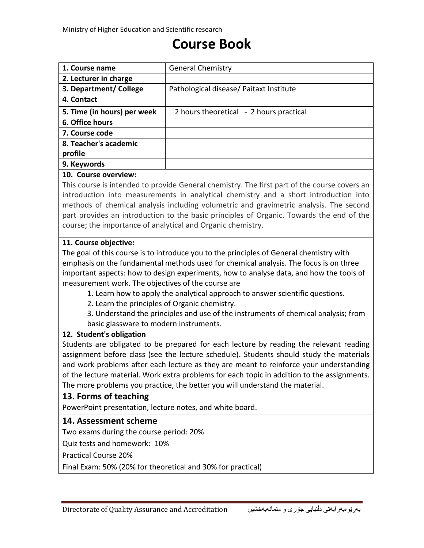### **Course Book**

| 1. Course name              | <b>General Chemistry</b>                |
|-----------------------------|-----------------------------------------|
| 2. Lecturer in charge       |                                         |
| 3. Department/College       | Pathological disease/ Paitaxt Institute |
| 4. Contact                  |                                         |
| 5. Time (in hours) per week | 2 hours theoretical - 2 hours practical |
| 6. Office hours             |                                         |
| 7. Course code              |                                         |
| 8. Teacher's academic       |                                         |
| profile                     |                                         |
| 9. Keywords                 |                                         |
|                             |                                         |

#### **10. Course overview:**

This course is intended to provide General chemistry. The first part of the course covers an introduction into measurements in analytical chemistry and a short introduction into methods of chemical analysis including volumetric and gravimetric analysis. The second part provides an introduction to the basic principles of Organic. Towards the end of the course; the importance of analytical and Organic chemistry.

#### **11. Course objective:**

The goal of this course is to introduce you to the principles of General chemistry with emphasis on the fundamental methods used for chemical analysis. The focus is on three important aspects: how to design experiments, how to analyse data, and how the tools of measurement work. The objectives of the course are

1. Learn how to apply the analytical approach to answer scientific questions.

2. Learn the principles of Organic chemistry.

3. Understand the principles and use of the instruments of chemical analysis; from basic glassware to modern instruments.

#### **12. Student's obligation**

Students are obligated to be prepared for each lecture by reading the relevant reading assignment before class (see the lecture schedule). Students should study the materials and work problems after each lecture as they are meant to reinforce your understanding of the lecture material. Work extra problems for each topic in addition to the assignments. The more problems you practice, the better you will understand the material.

#### **13. Forms of teaching**

PowerPoint presentation, lecture notes, and white board.

#### **14. Assessment scheme**

Two exams during the course period: 20%

Quiz tests and homework: 10%

Practical Course 20%

Final Exam: 50% (20% for theoretical and 30% for practical)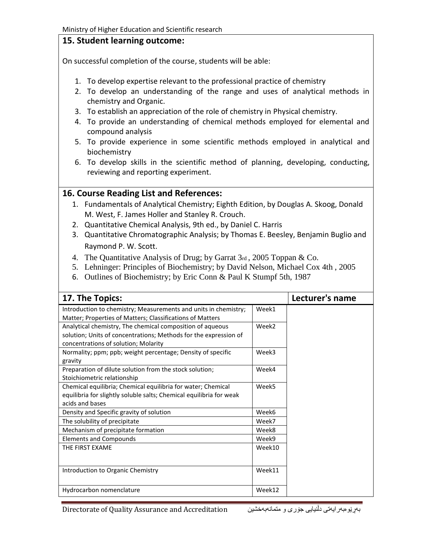#### **15. Student learning outcome:**

On successful completion of the course, students will be able:

- 1. To develop expertise relevant to the professional practice of chemistry
- 2. To develop an understanding of the range and uses of analytical methods in chemistry and Organic.
- 3. To establish an appreciation of the role of chemistry in Physical chemistry.
- 4. To provide an understanding of chemical methods employed for elemental and compound analysis
- 5. To provide experience in some scientific methods employed in analytical and biochemistry
- 6. To develop skills in the scientific method of planning, developing, conducting, reviewing and reporting experiment.

#### **16. Course Reading List and References:**

- 1. Fundamentals of Analytical Chemistry; Eighth Edition, by Douglas A. Skoog, Donald M. West, F. James Holler and Stanley R. Crouch.
- 2. Quantitative Chemical Analysis, 9th ed., by Daniel C. Harris
- 3. Quantitative Chromatographic Analysis; by Thomas E. Beesley, Benjamin Buglio and Raymond P. W. Scott.
- 4. The Quantitative Analysis of Drug; by Garrat 3rd , 2005 Toppan & Co.
- 5. Lehninger: Principles of Biochemistry; by David Nelson, Michael Cox 4th , 2005
- 6. Outlines of Biochemistry; by Eric Conn & Paul K Stumpf 5th, 1987

| 17. The Topics:                                                                                                                                                       |                   | Lecturer's name |
|-----------------------------------------------------------------------------------------------------------------------------------------------------------------------|-------------------|-----------------|
| Introduction to chemistry; Measurements and units in chemistry;<br>Matter; Properties of Matters; Classifications of Matters                                          | Week1             |                 |
| Analytical chemistry, The chemical composition of aqueous<br>solution; Units of concentrations; Methods for the expression of<br>concentrations of solution; Molarity | Week <sub>2</sub> |                 |
| Normality; ppm; ppb; weight percentage; Density of specific<br>gravity                                                                                                | Week3             |                 |
| Preparation of dilute solution from the stock solution;<br>Stoichiometric relationship                                                                                | Week4             |                 |
| Chemical equilibria; Chemical equilibria for water; Chemical<br>equilibria for slightly soluble salts; Chemical equilibria for weak<br>acids and bases                | Week5             |                 |
| Density and Specific gravity of solution                                                                                                                              | Week6             |                 |
| The solubility of precipitate                                                                                                                                         | Week7             |                 |
| Mechanism of precipitate formation                                                                                                                                    | Week8             |                 |
| <b>Elements and Compounds</b>                                                                                                                                         | Week9             |                 |
| THE FIRST EXAME                                                                                                                                                       | Week10            |                 |
| Introduction to Organic Chemistry                                                                                                                                     | Week11            |                 |
| Hydrocarbon nomenclature                                                                                                                                              | Week12            |                 |

Directorate of Quality Assurance and Accreditation متریو و متمان بوری و متمانهبهخشین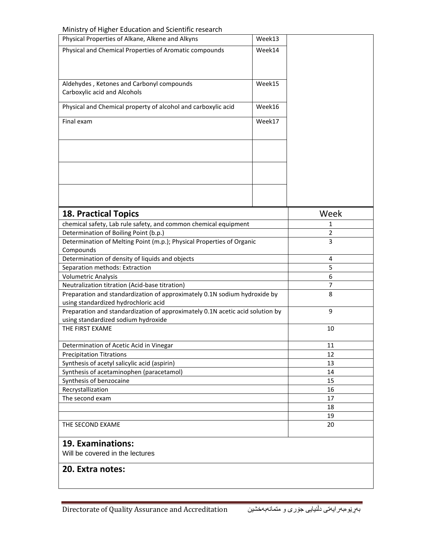#### Ministry of Higher Education and Scientific research

| Physical Properties of Alkane, Alkene and Alkyns                              | Week13               |      |  |  |
|-------------------------------------------------------------------------------|----------------------|------|--|--|
| Physical and Chemical Properties of Aromatic compounds                        | Week14               |      |  |  |
|                                                                               |                      |      |  |  |
|                                                                               |                      |      |  |  |
|                                                                               |                      |      |  |  |
| Aldehydes, Ketones and Carbonyl compounds                                     | Week15               |      |  |  |
| Carboxylic acid and Alcohols                                                  |                      |      |  |  |
| Physical and Chemical property of alcohol and carboxylic acid                 | Week16               |      |  |  |
|                                                                               |                      |      |  |  |
|                                                                               | Final exam<br>Week17 |      |  |  |
|                                                                               |                      |      |  |  |
|                                                                               |                      |      |  |  |
|                                                                               |                      |      |  |  |
|                                                                               |                      |      |  |  |
|                                                                               |                      |      |  |  |
|                                                                               |                      |      |  |  |
|                                                                               |                      |      |  |  |
|                                                                               |                      |      |  |  |
| <b>18. Practical Topics</b>                                                   |                      | Week |  |  |
| chemical safety, Lab rule safety, and common chemical equipment               | 1                    |      |  |  |
| Determination of Boiling Point (b.p.)                                         |                      |      |  |  |
| Determination of Melting Point (m.p.); Physical Properties of Organic         |                      |      |  |  |
| Compounds                                                                     | 3                    |      |  |  |
| Determination of density of liquids and objects                               | 4                    |      |  |  |
| Separation methods: Extraction                                                | 5                    |      |  |  |
| <b>Volumetric Analysis</b>                                                    | 6                    |      |  |  |
| Neutralization titration (Acid-base titration)                                | 7                    |      |  |  |
| Preparation and standardization of approximately 0.1N sodium hydroxide by     | 8                    |      |  |  |
| using standardized hydrochloric acid                                          |                      |      |  |  |
| Preparation and standardization of approximately 0.1N acetic acid solution by | 9                    |      |  |  |
| using standardized sodium hydroxide                                           |                      |      |  |  |
| THE FIRST EXAME                                                               | 10                   |      |  |  |
| Determination of Acetic Acid in Vinegar                                       | 11                   |      |  |  |
| <b>Precipitation Titrations</b>                                               | 12                   |      |  |  |
| Synthesis of acetyl salicylic acid (aspirin)                                  | 13                   |      |  |  |
| Synthesis of acetaminophen (paracetamol)                                      | 14                   |      |  |  |
| Synthesis of benzocaine                                                       | 15                   |      |  |  |
| Recrystallization                                                             | 16                   |      |  |  |
| The second exam                                                               | 17                   |      |  |  |
|                                                                               |                      | 18   |  |  |
|                                                                               |                      | 19   |  |  |
| THE SECOND EXAME                                                              | 20                   |      |  |  |
|                                                                               |                      |      |  |  |
| <b>19. Examinations:</b>                                                      |                      |      |  |  |
| Will be covered in the lectures                                               |                      |      |  |  |
| 20. Extra notes:                                                              |                      |      |  |  |
|                                                                               |                      |      |  |  |
|                                                                               |                      |      |  |  |

Directorate of Quality Assurance and Accreditation متمانوبوخشینوجۆریدڵنیاییبوڕێوهبورایوتی